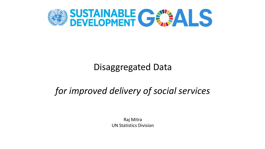

# Disaggregated Data

# *for improved delivery of social services*

Raj Mitra UN Statistics Division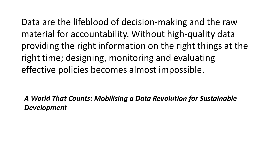Data are the lifeblood of decision-making and the raw material for accountability. Without high-quality data providing the right information on the right things at the right time; designing, monitoring and evaluating effective policies becomes almost impossible.

*A World That Counts: Mobilising a Data Revolution for Sustainable Development*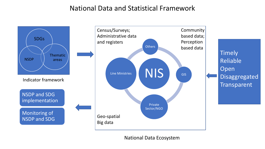## National Data and Statistical Framework



National Data Ecosystem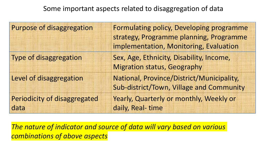Some important aspects related to disaggregation of data

| Purpose of disaggregation            | Formulating policy, Developing programme<br>strategy, Programme planning, Programme<br>implementation, Monitoring, Evaluation |
|--------------------------------------|-------------------------------------------------------------------------------------------------------------------------------|
| <b>Type of disaggregation</b>        | Sex, Age, Ethnicity, Disability, Income,<br><b>Migration status, Geography</b>                                                |
| Level of disaggregation              | National, Province/District/Municipality,<br>Sub-district/Town, Village and Community                                         |
| Periodicity of disaggregated<br>data | Yearly, Quarterly or monthly, Weekly or<br>daily, Real-time                                                                   |

*The nature of indicator and source of data will vary based on various combinations of above aspects*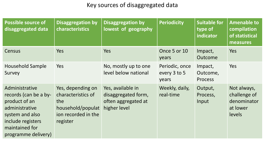### Key sources of disaggregated data

| <b>Possible source of</b><br>disaggregated data                                                                                                             | <b>Disaggregation by</b><br><b>characteristics</b>                                                     | <b>Disaggregation by</b><br>lowest of geography                                 | <b>Periodicity</b>                      | <b>Suitable for</b><br>type of<br>indicator | <b>Amenable to</b><br>compilation<br>of statistical<br>measures  |
|-------------------------------------------------------------------------------------------------------------------------------------------------------------|--------------------------------------------------------------------------------------------------------|---------------------------------------------------------------------------------|-----------------------------------------|---------------------------------------------|------------------------------------------------------------------|
| Census                                                                                                                                                      | Yes                                                                                                    | Yes                                                                             | Once 5 or 10<br>years                   | Impact,<br><b>Outcome</b>                   | Yes                                                              |
| <b>Household Sample</b><br>Survey                                                                                                                           | Yes                                                                                                    | No, mostly up to one<br>level below national                                    | Periodic, once<br>every 3 to 5<br>years | Impact,<br>Outcome,<br><b>Process</b>       | Yes                                                              |
| Administrative<br>records (can be a by-<br>product of an<br>administrative<br>system and also<br>include registers<br>maintained for<br>programme delivery) | Yes, depending on<br>characteristics of<br>the<br>household/populat<br>ion recorded in the<br>register | Yes, available in<br>disaggregated form,<br>often aggregated at<br>higher level | Weekly, daily,<br>real-time             | Output,<br>Process,<br>Input                | Not always,<br>challenge of<br>denominator<br>at lower<br>levels |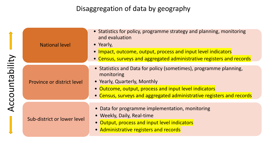## Disaggregation of data by geography

|               | <b>National level</b>       | • Statistics for policy, programme strategy and planning, monitoring<br>and evaluation<br>• Yearly,<br>• Impact, outcome, output, process and input level indicators<br>• Census, surveys and aggregated administrative registers and records     |
|---------------|-----------------------------|---------------------------------------------------------------------------------------------------------------------------------------------------------------------------------------------------------------------------------------------------|
| ccountability | Province or district level  | • Statistics and Data for policy (sometimes), programme planning,<br>monitoring<br>• Yearly, Quarterly, Monthly<br>• Outcome, output, process and input level indicators<br>• Census, surveys and aggregated administrative registers and records |
|               | Sub-district or lower level | • Data for programme implementation, monitoring<br>• Weekly, Daily, Real-time<br>• Output, process and input level indicators<br>• Administrative registers and records                                                                           |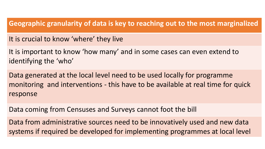## **Geographic granularity of data is key to reaching out to the most marginalized**

It is crucial to know 'where' they live

It is important to know 'how many' and in some cases can even extend to identifying the 'who'

Data generated at the local level need to be used locally for programme monitoring and interventions - this have to be available at real time for quick response

Data coming from Censuses and Surveys cannot foot the bill

Data from administrative sources need to be innovatively used and new data systems if required be developed for implementing programmes at local level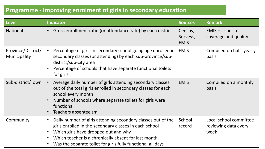#### **Programme - Improving enrolment of girls in secondary education**

| <b>Level</b>                       | Indicator                                                                                                                                                                                                                                                                             | <b>Sources</b>                     | <b>Remark</b>                                          |
|------------------------------------|---------------------------------------------------------------------------------------------------------------------------------------------------------------------------------------------------------------------------------------------------------------------------------------|------------------------------------|--------------------------------------------------------|
| <b>National</b>                    | Gross enrollment ratio (or attendance rate) by each district                                                                                                                                                                                                                          | Census,<br>Surveys,<br><b>EMIS</b> | $EMIS - issues of$<br>coverage and quality             |
| Province/District/<br>Municipality | Percentage of girls in secondary school going age enrolled in<br>secondary classes (or attending) by each sub-province/sub-<br>district/sub-city area<br>Percentage of schools that have separate functional toilets<br>for girls                                                     | <b>EMIS</b>                        | Compiled on half-yearly<br><b>basis</b>                |
| Sub-district/Town                  | Average daily number of girls attending secondary classes<br>out of the total girls enrolled in secondary classes for each<br>school every month<br>Number of schools where separate toilets for girls were<br>functional<br>Teachers absenteeism                                     | <b>EMIS</b>                        | Compiled on a monthly<br><b>basis</b>                  |
| Community                          | Daily number of girls attending secondary classes out of the<br>girls enrolled in the secondary classes in each school<br>Which girls have dropped out and why<br>Which teacher is a chronically absent for last month<br>Was the separate toilet for girls fully functional all days | School<br>record                   | Local school committee<br>reviewing data every<br>week |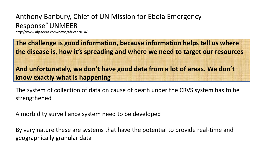## Anthony Banbury, Chief of UN Mission for Ebola Emergency Response\* UNMEER

http://www.aljazeera.com/news/africa/2014/

**The challenge is good information, because information helps tell us where the disease is, how it's spreading and where we need to target our resources**

**And unfortunately, we don't have good data from a lot of areas. We don't know exactly what is happening**

The system of collection of data on cause of death under the CRVS system has to be strengthened

A morbidity surveillance system need to be developed

By very nature these are systems that have the potential to provide real-time and geographically granular data